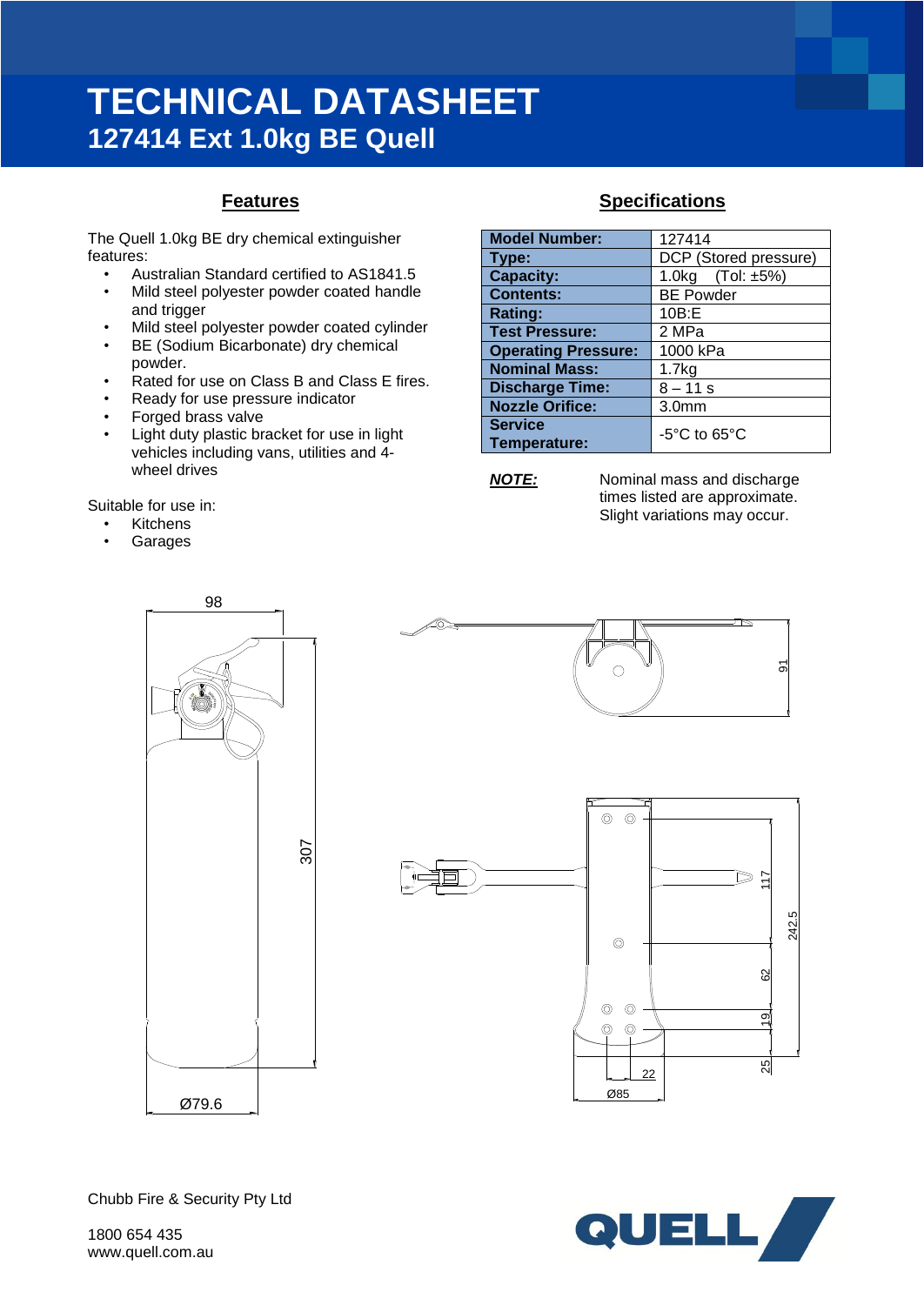# **TECHNICAL DATASHEET 127414 Ext 1.0kg BE Quell**

## **Features**

The Quell 1.0kg BE dry chemical extinguisher features:

- Australian Standard certified to AS1841.5
- Mild steel polyester powder coated handle and trigger
- Mild steel polyester powder coated cylinder
- BE (Sodium Bicarbonate) dry chemical powder.
- Rated for use on Class B and Class E fires.
- Ready for use pressure indicator
- Forged brass valve
- Light duty plastic bracket for use in light vehicles including vans, utilities and 4 wheel drives

Suitable for use in:

- **Kitchens**
- Garages

# **Specifications**

| <b>Model Number:</b>           | 127414                            |
|--------------------------------|-----------------------------------|
| Type:                          | DCP (Stored pressure)             |
| <b>Capacity:</b>               | 1.0kg $(Tol: ±5%)$                |
| <b>Contents:</b>               | <b>BE Powder</b>                  |
| <b>Rating:</b>                 | 10B: E                            |
| <b>Test Pressure:</b>          | 2 MPa                             |
| <b>Operating Pressure:</b>     | 1000 kPa                          |
| <b>Nominal Mass:</b>           | 1.7kg                             |
| <b>Discharge Time:</b>         | $8 - 11 s$                        |
| <b>Nozzle Orifice:</b>         | 3.0 <sub>mm</sub>                 |
| <b>Service</b><br>Temperature: | $-5^{\circ}$ C to 65 $^{\circ}$ C |

*NOTE:* Nominal mass and discharge times listed are approximate. Slight variations may occur.







 $\frac{9}{2}$ 

 $25$ 

22

Ø85

 $\circledcirc$  $\circledcirc$ 

 $\circledcirc$  $\circledcirc$ 

Chubb Fire & Security Pty Ltd